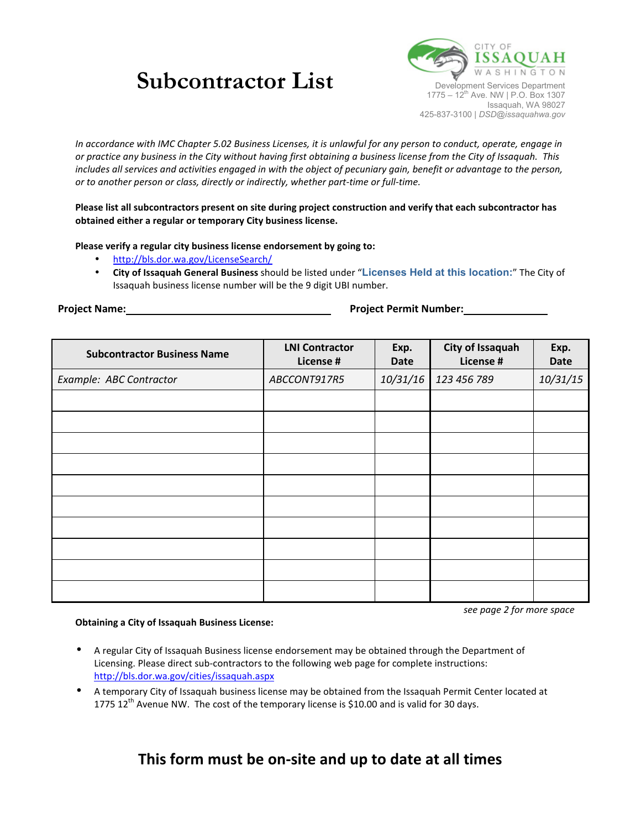# **Subcontractor List** Development Services Department



*In accordance with IMC Chapter 5.02 Business Licenses, it is unlawful for any person to conduct, operate, engage in or practice any business in the City without having first obtaining a business license from the City of Issaquah. This includes all services and activities engaged in with the object of pecuniary gain, benefit or advantage to the person, or to another person or class, directly or indirectly, whether part-time or full-time.* 

### **Please list all subcontractors present on site during project construction and verify that each subcontractor has obtained either a regular or temporary City business license.**

#### **Please verify a regular city business license endorsement by going to:**

- <http://bls.dor.wa.gov/LicenseSearch/>
- **City of Issaquah General Business** should be listed under "**Licenses Held at this location:**" The City of Issaquah business license number will be the 9 digit UBI number.

**Project Name: Project Permit Number:**

*see page 2 for more space* 

| <b>Subcontractor Business Name</b> | <b>LNI Contractor</b><br>License # | Exp.<br><b>Date</b> | City of Issaquah<br>License # | Exp.<br><b>Date</b> |
|------------------------------------|------------------------------------|---------------------|-------------------------------|---------------------|
| Example: ABC Contractor            | ABCCONT917R5                       | 10/31/16            | 123 456 789                   | 10/31/15            |
|                                    |                                    |                     |                               |                     |
|                                    |                                    |                     |                               |                     |
|                                    |                                    |                     |                               |                     |
|                                    |                                    |                     |                               |                     |
|                                    |                                    |                     |                               |                     |
|                                    |                                    |                     |                               |                     |
|                                    |                                    |                     |                               |                     |
|                                    |                                    |                     |                               |                     |
|                                    |                                    |                     |                               |                     |
|                                    |                                    |                     |                               |                     |

#### **Obtaining a City of Issaquah Business License:**

- A regular City of Issaquah Business license endorsement may be obtained through the Department of Licensing. Please direct sub-contractors to the following web page for complete instructions: <http://bls.dor.wa.gov/cities/issaquah.aspx>
- A temporary City of Issaquah business license may be obtained from the Issaquah Permit Center located at 1775 12<sup>th</sup> Avenue NW. The cost of the temporary license is \$10.00 and is valid for 30 days.

## **This form must be on-site and up to date at all times**